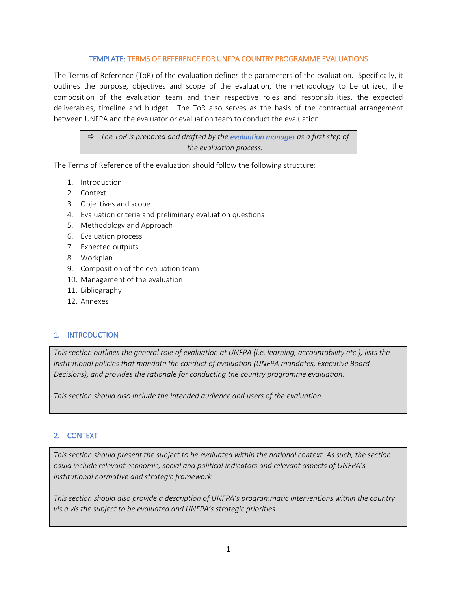### TEMPLATE: TERMS OF REFERENCE FOR UNFPA COUNTRY PROGRAMME EVALUATIONS

The Terms of Reference (ToR) of the evaluation defines the parameters of the evaluation. Specifically, it outlines the purpose, objectives and scope of the evaluation, the methodology to be utilized, the composition of the evaluation team and their respective roles and responsibilities, the expected deliverables, timeline and budget. The ToR also serves as the basis of the contractual arrangement between UNFPA and the evaluator or evaluation team to conduct the evaluation.

 *The ToR is prepared and drafted by the evaluation manager as a first step of the evaluation process.*

The Terms of Reference of the evaluation should follow the following structure:

- 1. Introduction
- 2. Context
- 3. Objectives and scope
- 4. Evaluation criteria and preliminary evaluation questions
- 5. Methodology and Approach
- 6. Evaluation process
- 7. Expected outputs
- 8. Workplan
- 9. Composition of the evaluation team
- 10. Management of the evaluation
- 11. Bibliography
- 12. Annexes

# 1. INTRODUCTION

*This section outlines the general role of evaluation at UNFPA (i.e. learning, accountability etc.); lists the institutional policies that mandate the conduct of evaluation (UNFPA mandates, Executive Board Decisions), and provides the rationale for conducting the country programme evaluation.*

*This section should also include the intended audience and users of the evaluation.*

# 2. CONTEXT

*This section should present the subject to be evaluated within the national context. As such, the section could include relevant economic, social and political indicators and relevant aspects of UNFPA's institutional normative and strategic framework.* 

*This section should also provide a description of UNFPA's programmatic interventions within the country vis a vis the subject to be evaluated and UNFPA's strategic priorities.*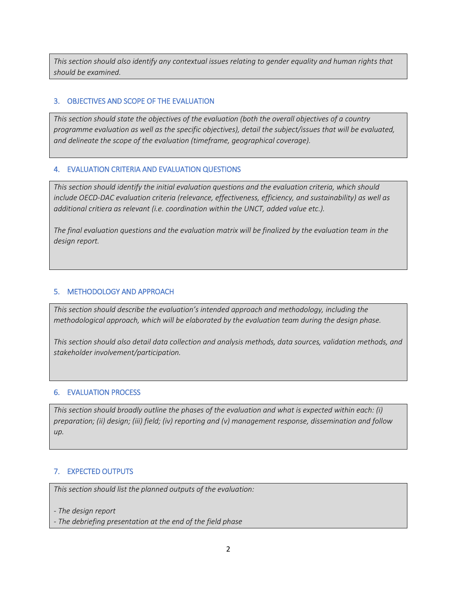*This section should also identify any contextual issues relating to gender equality and human rights that should be examined.*

# 3. OBJECTIVES AND SCOPE OF THE EVALUATION

*This section should state the objectives of the evaluation (both the overall objectives of a country programme evaluation as well as the specific objectives), detail the subject/issues that will be evaluated, and delineate the scope of the evaluation (timeframe, geographical coverage).* 

# 4. EVALUATION CRITERIA AND EVALUATION QUESTIONS

*This section should identify the initial evaluation questions and the evaluation criteria, which should include OECD-DAC evaluation criteria (relevance, effectiveness, efficiency, and sustainability) as well as additional critiera as relevant (i.e. coordination within the UNCT, added value etc.).*

*The final evaluation questions and the evaluation matrix will be finalized by the evaluation team in the design report.*

# 5. METHODOLOGY AND APPROACH

*This section should describe the evaluation's intended approach and methodology, including the methodological approach, which will be elaborated by the evaluation team during the design phase.* 

*This section should also detail data collection and analysis methods, data sources, validation methods, and stakeholder involvement/participation.*

#### 6. EVALUATION PROCESS

*This section should broadly outline the phases of the evaluation and what is expected within each: (i) preparation; (ii) design; (iii) field; (iv) reporting and (v) management response, dissemination and follow up.*

#### 7. EXPECTED OUTPUTS

*This section should list the planned outputs of the evaluation:*

*- The design report* 

*- The debriefing presentation at the end of the field phase*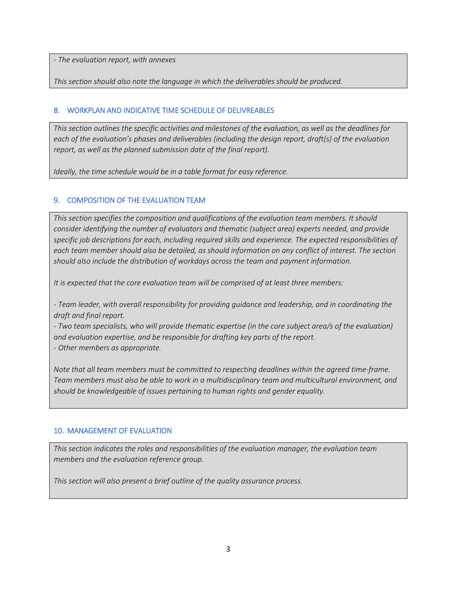*- The evaluation report, with annexes*

*This section should also note the language in which the deliverables should be produced.*

# 8. WORKPLAN AND INDICATIVE TIME SCHEDULE OF DELIVREABLES

*This section outlines the specific activities and milestones of the evaluation, as well as the deadlines for each of the evaluation's phases and deliverables (including the design report, draft(s) of the evaluation report, as well as the planned submission date of the final report).*

*Ideally, the time schedule would be in a table format for easy reference.* 

# 9. COMPOSITION OF THE EVALUATION TEAM

*This section specifies the composition and qualifications of the evaluation team members. It should consider identifying the number of evaluators and thematic (subject area) experts needed, and provide specific job descriptions for each, including required skills and experience. The expected responsibilities of each team member should also be detailed, as should information on any conflict of interest. The section should also include the distribution of workdays across the team and payment information.*

*It is expected that the core evaluation team will be comprised of at least three members:*

*- Team leader, with overall responsibility for providing guidance and leadership, and in coordinating the draft and final report.*

*- Two team specialists, who will provide thematic expertise (in the core subject area/s of the evaluation) and evaluation expertise, and be responsible for drafting key parts of the report. - Other members as appropriate.*

*Note that all team members must be committed to respecting deadlines within the agreed time-frame. Team members must also be able to work in a multidisciplinary team and multicultural environment, and should be knowledgeable of issues pertaining to human rights and gender equality.* 

#### 10. MANAGEMENT OF EVALUATION

*This section indicates the roles and responsibilities of the evaluation manager, the evaluation team members and the evaluation reference group.* 

*This section will also present a brief outline of the quality assurance process.*